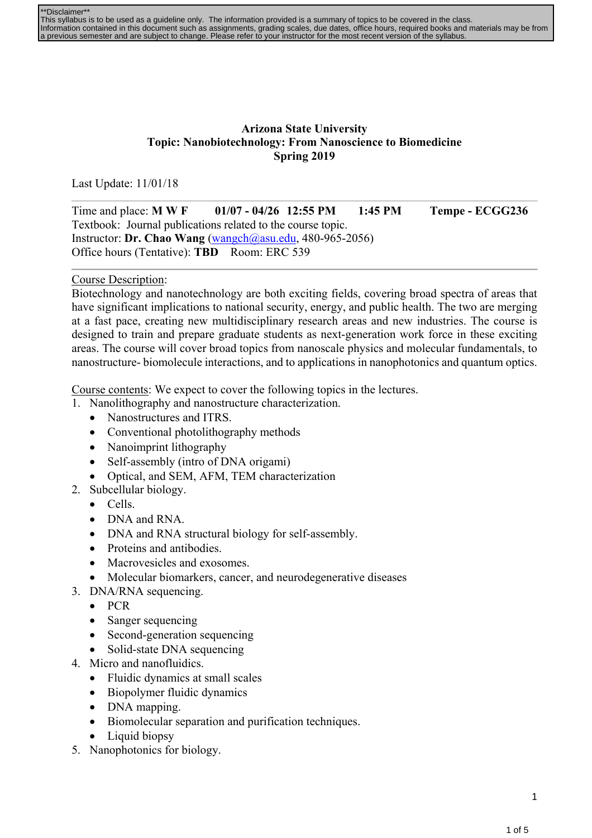| <sup>**</sup> Disclaimer**                                                                                                                    |
|-----------------------------------------------------------------------------------------------------------------------------------------------|
| This syllabus is to be used as a quideline only. The information provided is a summary of topics to be covered in the class.                  |
| Information contained in this document such as assignments, grading scales, due dates, office hours, required books and materials may be from |
| a previous semester and are subject to change. Please refer to your instructor for the most recent version of the syllabus.                   |

## **Arizona State University Topic: Nanobiotechnology: From Nanoscience to Biomedicine Spring 2019**

Last Update: 11/01/18

Time and place: **M W F 01/07 - 04/26 12:55 PM 1:45 PM Tempe - ECGG236**  Textbook: Journal publications related to the course topic. Instructor: **Dr. Chao Wang** (wangch@asu.edu, 480-965-2056) Office hours (Tentative): **TBD** Room: ERC 539

## Course Description:

Biotechnology and nanotechnology are both exciting fields, covering broad spectra of areas that have significant implications to national security, energy, and public health. The two are merging at a fast pace, creating new multidisciplinary research areas and new industries. The course is designed to train and prepare graduate students as next-generation work force in these exciting areas. The course will cover broad topics from nanoscale physics and molecular fundamentals, to nanostructure- biomolecule interactions, and to applications in nanophotonics and quantum optics.

Course contents: We expect to cover the following topics in the lectures.

- 1. Nanolithography and nanostructure characterization.
	- Nanostructures and ITRS.
	- Conventional photolithography methods
	- Nanoimprint lithography
	- Self-assembly (intro of DNA origami)
	- Optical, and SEM, AFM, TEM characterization
- 2. Subcellular biology.
	- Cells.
	- DNA and RNA.
	- DNA and RNA structural biology for self-assembly.
	- Proteins and antibodies.
	- Macrovesicles and exosomes.
	- Molecular biomarkers, cancer, and neurodegenerative diseases
- 3. DNA/RNA sequencing.
	- $\bullet$  PCR
	- Sanger sequencing
	- Second-generation sequencing
	- Solid-state DNA sequencing
- 4. Micro and nanofluidics.
	- Fluidic dynamics at small scales
	- Biopolymer fluidic dynamics
	- DNA mapping.
	- Biomolecular separation and purification techniques.
	- Liquid biopsy
- 5. Nanophotonics for biology.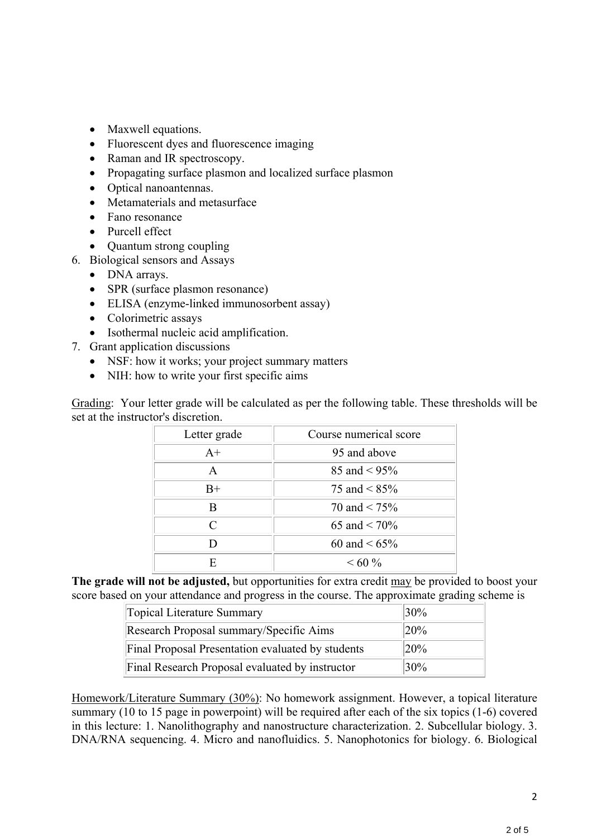- Maxwell equations.
- Fluorescent dyes and fluorescence imaging
- Raman and IR spectroscopy.
- Propagating surface plasmon and localized surface plasmon
- Optical nanoantennas.
- Metamaterials and metasurface
- Fano resonance
- Purcell effect
- Quantum strong coupling
- 6. Biological sensors and Assays
	- DNA arrays.
	- SPR (surface plasmon resonance)
	- ELISA (enzyme-linked immunosorbent assay)
	- Colorimetric assays
	- Isothermal nucleic acid amplification.
- 7. Grant application discussions
	- NSF: how it works; your project summary matters
	- NIH: how to write your first specific aims

Grading: Your letter grade will be calculated as per the following table. These thresholds will be set at the instructor's discretion.

| Letter grade | Course numerical score |  |
|--------------|------------------------|--|
| $A+$         | 95 and above           |  |
| A            | 85 and $\leq$ 95%      |  |
| $B+$         | 75 and $\leq$ 85%      |  |
| R            | 70 and $\leq 75\%$     |  |
| $\subset$    | 65 and $< 70\%$        |  |
|              | 60 and $\leq 65\%$     |  |
| F            | $<60\%$                |  |

**The grade will not be adjusted,** but opportunities for extra credit may be provided to boost your score based on your attendance and progress in the course. The approximate grading scheme is

| Topical Literature Summary                        | $ 30\%$ |
|---------------------------------------------------|---------|
| Research Proposal summary/Specific Aims           | 20%     |
| Final Proposal Presentation evaluated by students | 20%     |
| Final Research Proposal evaluated by instructor   | 30%     |

Homework/Literature Summary (30%): No homework assignment. However, a topical literature summary (10 to 15 page in powerpoint) will be required after each of the six topics (1-6) covered in this lecture: 1. Nanolithography and nanostructure characterization. 2. Subcellular biology. 3. DNA/RNA sequencing. 4. Micro and nanofluidics. 5. Nanophotonics for biology. 6. Biological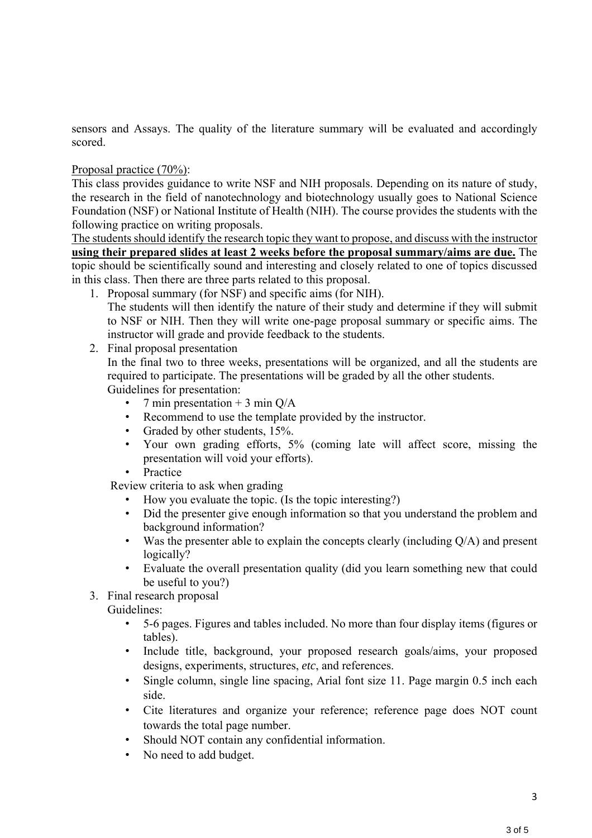sensors and Assays. The quality of the literature summary will be evaluated and accordingly scored.

Proposal practice (70%):

This class provides guidance to write NSF and NIH proposals. Depending on its nature of study, the research in the field of nanotechnology and biotechnology usually goes to National Science Foundation (NSF) or National Institute of Health (NIH). The course provides the students with the following practice on writing proposals.

The students should identify the research topic they want to propose, and discuss with the instructor **using their prepared slides at least 2 weeks before the proposal summary/aims are due.** The topic should be scientifically sound and interesting and closely related to one of topics discussed in this class. Then there are three parts related to this proposal.

- 1. Proposal summary (for NSF) and specific aims (for NIH). The students will then identify the nature of their study and determine if they will submit to NSF or NIH. Then they will write one-page proposal summary or specific aims. The instructor will grade and provide feedback to the students.
- 2. Final proposal presentation

In the final two to three weeks, presentations will be organized, and all the students are required to participate. The presentations will be graded by all the other students. Guidelines for presentation:

- 7 min presentation  $+$  3 min Q/A
- Recommend to use the template provided by the instructor.
- Graded by other students, 15%.
- Your own grading efforts, 5% (coming late will affect score, missing the presentation will void your efforts).
- Practice

Review criteria to ask when grading

- How you evaluate the topic. (Is the topic interesting?)
- Did the presenter give enough information so that you understand the problem and background information?
- Was the presenter able to explain the concepts clearly (including Q/A) and present logically?
- Evaluate the overall presentation quality (did you learn something new that could be useful to you?)
- 3. Final research proposal

Guidelines:

- 5-6 pages. Figures and tables included. No more than four display items (figures or tables).
- Include title, background, your proposed research goals/aims, your proposed designs, experiments, structures, *etc*, and references.
- Single column, single line spacing, Arial font size 11. Page margin 0.5 inch each side.
- Cite literatures and organize your reference; reference page does NOT count towards the total page number.
- Should NOT contain any confidential information.
- No need to add budget.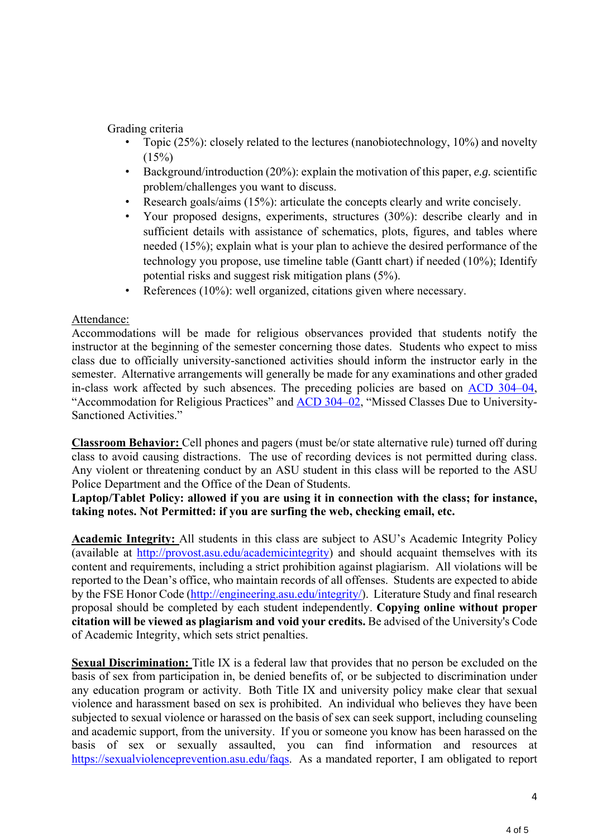## Grading criteria

- Topic (25%): closely related to the lectures (nanobiotechnology, 10%) and novelty  $(15%)$
- Background/introduction (20%): explain the motivation of this paper, *e.g.* scientific problem/challenges you want to discuss.
- Research goals/aims (15%): articulate the concepts clearly and write concisely.
- Your proposed designs, experiments, structures (30%): describe clearly and in sufficient details with assistance of schematics, plots, figures, and tables where needed (15%); explain what is your plan to achieve the desired performance of the technology you propose, use timeline table (Gantt chart) if needed (10%); Identify potential risks and suggest risk mitigation plans (5%).
- References (10%): well organized, citations given where necessary.

## Attendance:

Accommodations will be made for religious observances provided that students notify the instructor at the beginning of the semester concerning those dates. Students who expect to miss class due to officially university-sanctioned activities should inform the instructor early in the semester. Alternative arrangements will generally be made for any examinations and other graded in-class work affected by such absences. The preceding policies are based on ACD 304–04, "Accommodation for Religious Practices" and ACD 304–02, "Missed Classes Due to University-Sanctioned Activities."

**Classroom Behavior:** Cell phones and pagers (must be/or state alternative rule) turned off during class to avoid causing distractions. The use of recording devices is not permitted during class. Any violent or threatening conduct by an ASU student in this class will be reported to the ASU Police Department and the Office of the Dean of Students.

**Laptop/Tablet Policy: allowed if you are using it in connection with the class; for instance, taking notes. Not Permitted: if you are surfing the web, checking email, etc.** 

**Academic Integrity:** All students in this class are subject to ASU's Academic Integrity Policy (available at http://provost.asu.edu/academicintegrity) and should acquaint themselves with its content and requirements, including a strict prohibition against plagiarism. All violations will be reported to the Dean's office, who maintain records of all offenses. Students are expected to abide by the FSE Honor Code (http://engineering.asu.edu/integrity/). Literature Study and final research proposal should be completed by each student independently. **Copying online without proper citation will be viewed as plagiarism and void your credits.** Be advised of the University's Code of Academic Integrity, which sets strict penalties.

**Sexual Discrimination:** Title IX is a federal law that provides that no person be excluded on the basis of sex from participation in, be denied benefits of, or be subjected to discrimination under any education program or activity. Both Title IX and university policy make clear that sexual violence and harassment based on sex is prohibited. An individual who believes they have been subjected to sexual violence or harassed on the basis of sex can seek support, including counseling and academic support, from the university. If you or someone you know has been harassed on the basis of sex or sexually assaulted, you can find information and resources at https://sexualviolenceprevention.asu.edu/faqs. As a mandated reporter, I am obligated to report